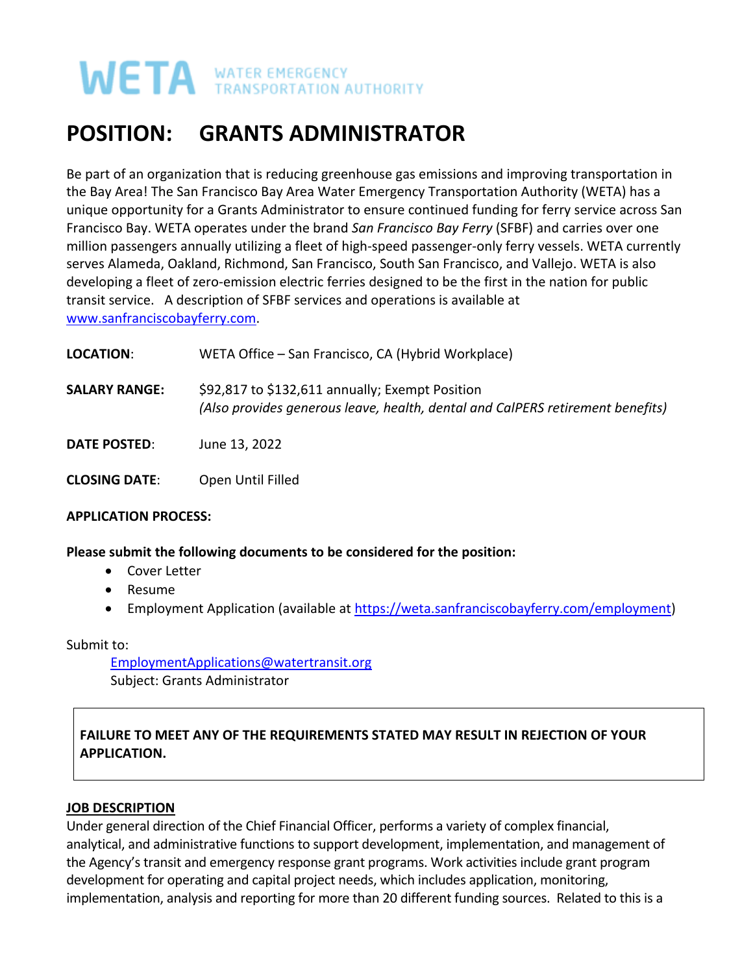# **WATER EMERGENCY**

# **POSITION: GRANTS ADMINISTRATOR**

Be part of an organization that is reducing greenhouse gas emissions and improving transportation in the Bay Area! The San Francisco Bay Area Water Emergency Transportation Authority (WETA) has a unique opportunity for a Grants Administrator to ensure continued funding for ferry service across San Francisco Bay. WETA operates under the brand *San Francisco Bay Ferry* (SFBF) and carries over one million passengers annually utilizing a fleet of high-speed passenger-only ferry vessels. WETA currently serves Alameda, Oakland, Richmond, San Francisco, South San Francisco, and Vallejo. WETA is also developing a fleet of zero-emission electric ferries designed to be the first in the nation for public transit service. A description of SFBF services and operations is available at [www.sanfranciscobayferry.com.](http://www.sanfranciscobayferry.com/)

| LOCATION:            | WETA Office - San Francisco, CA (Hybrid Workplace)                                                                                |
|----------------------|-----------------------------------------------------------------------------------------------------------------------------------|
| <b>SALARY RANGE:</b> | \$92,817 to \$132,611 annually; Exempt Position<br>(Also provides generous leave, health, dental and CalPERS retirement benefits) |
| <b>DATE POSTED:</b>  | June 13, 2022                                                                                                                     |
| <b>CLOSING DATE:</b> | Open Until Filled                                                                                                                 |

#### **APPLICATION PROCESS:**

**Please submit the following documents to be considered for the position:** 

- Cover Letter
- Resume
- Employment Application (available at [https://weta.sanfranciscobayferry.com/employment\)](https://weta.sanfranciscobayferry.com/employment)

Submit to:

EmploymentApplications@watertransit.org Subject: Grants Administrator

# **FAILURE TO MEET ANY OF THE REQUIREMENTS STATED MAY RESULT IN REJECTION OF YOUR APPLICATION.**

# **JOB DESCRIPTION**

Under general direction of the Chief Financial Officer, performs a variety of complex financial, analytical, and administrative functions to support development, implementation, and management of the Agency's transit and emergency response grant programs. Work activities include grant program development for operating and capital project needs, which includes application, monitoring, implementation, analysis and reporting for more than 20 different funding sources. Related to this is a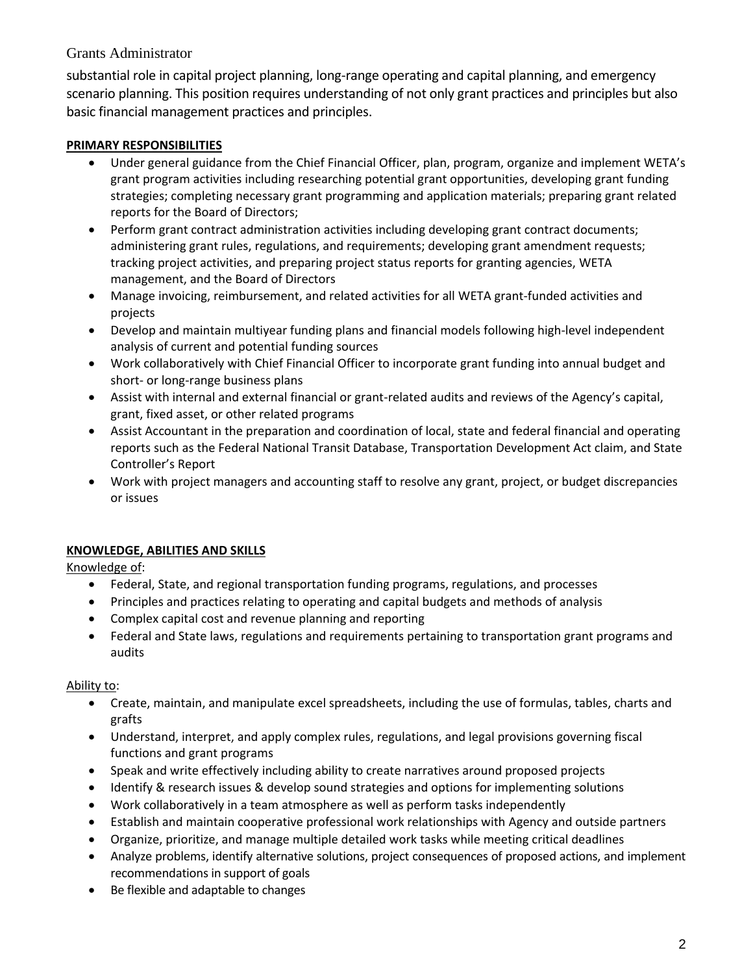# Grants Administrator

substantial role in capital project planning, long-range operating and capital planning, and emergency scenario planning. This position requires understanding of not only grant practices and principles but also basic financial management practices and principles.

## **PRIMARY RESPONSIBILITIES**

- Under general guidance from the Chief Financial Officer, plan, program, organize and implement WETA's grant program activities including researching potential grant opportunities, developing grant funding strategies; completing necessary grant programming and application materials; preparing grant related reports for the Board of Directors;
- Perform grant contract administration activities including developing grant contract documents; administering grant rules, regulations, and requirements; developing grant amendment requests; tracking project activities, and preparing project status reports for granting agencies, WETA management, and the Board of Directors
- Manage invoicing, reimbursement, and related activities for all WETA grant-funded activities and projects
- Develop and maintain multiyear funding plans and financial models following high-level independent analysis of current and potential funding sources
- Work collaboratively with Chief Financial Officer to incorporate grant funding into annual budget and short- or long-range business plans
- Assist with internal and external financial or grant-related audits and reviews of the Agency's capital, grant, fixed asset, or other related programs
- Assist Accountant in the preparation and coordination of local, state and federal financial and operating reports such as the Federal National Transit Database, Transportation Development Act claim, and State Controller's Report
- Work with project managers and accounting staff to resolve any grant, project, or budget discrepancies or issues

# **KNOWLEDGE, ABILITIES AND SKILLS**

Knowledge of:

- Federal, State, and regional transportation funding programs, regulations, and processes
- Principles and practices relating to operating and capital budgets and methods of analysis
- Complex capital cost and revenue planning and reporting
- Federal and State laws, regulations and requirements pertaining to transportation grant programs and audits

#### Ability to:

- Create, maintain, and manipulate excel spreadsheets, including the use of formulas, tables, charts and grafts
- Understand, interpret, and apply complex rules, regulations, and legal provisions governing fiscal functions and grant programs
- Speak and write effectively including ability to create narratives around proposed projects
- Identify & research issues & develop sound strategies and options for implementing solutions
- Work collaboratively in a team atmosphere as well as perform tasks independently
- Establish and maintain cooperative professional work relationships with Agency and outside partners
- Organize, prioritize, and manage multiple detailed work tasks while meeting critical deadlines
- Analyze problems, identify alternative solutions, project consequences of proposed actions, and implement recommendations in support of goals
- Be flexible and adaptable to changes